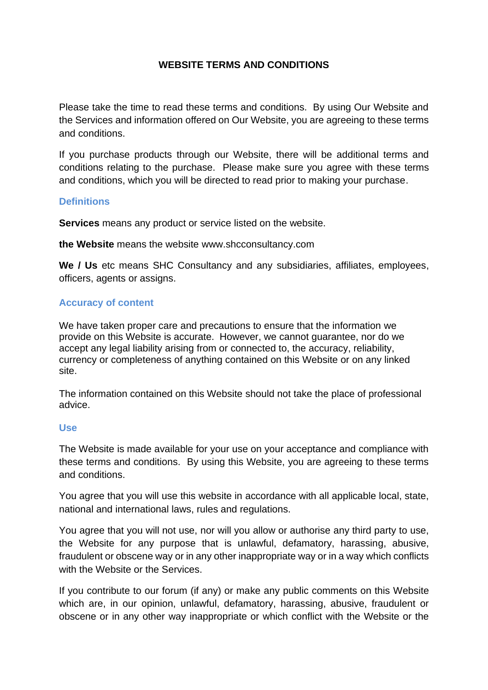# **WEBSITE TERMS AND CONDITIONS**

Please take the time to read these terms and conditions. By using Our Website and the Services and information offered on Our Website, you are agreeing to these terms and conditions.

If you purchase products through our Website, there will be additional terms and conditions relating to the purchase. Please make sure you agree with these terms and conditions, which you will be directed to read prior to making your purchase.

## **Definitions**

**Services** means any product or service listed on the website.

**the Website** means the website www.shcconsultancy.com

**We / Us** etc means SHC Consultancy and any subsidiaries, affiliates, employees, officers, agents or assigns.

## **Accuracy of content**

We have taken proper care and precautions to ensure that the information we provide on this Website is accurate. However, we cannot guarantee, nor do we accept any legal liability arising from or connected to, the accuracy, reliability, currency or completeness of anything contained on this Website or on any linked site.

The information contained on this Website should not take the place of professional advice.

#### **Use**

The Website is made available for your use on your acceptance and compliance with these terms and conditions. By using this Website, you are agreeing to these terms and conditions.

You agree that you will use this website in accordance with all applicable local, state, national and international laws, rules and regulations.

You agree that you will not use, nor will you allow or authorise any third party to use, the Website for any purpose that is unlawful, defamatory, harassing, abusive, fraudulent or obscene way or in any other inappropriate way or in a way which conflicts with the Website or the Services.

If you contribute to our forum (if any) or make any public comments on this Website which are, in our opinion, unlawful, defamatory, harassing, abusive, fraudulent or obscene or in any other way inappropriate or which conflict with the Website or the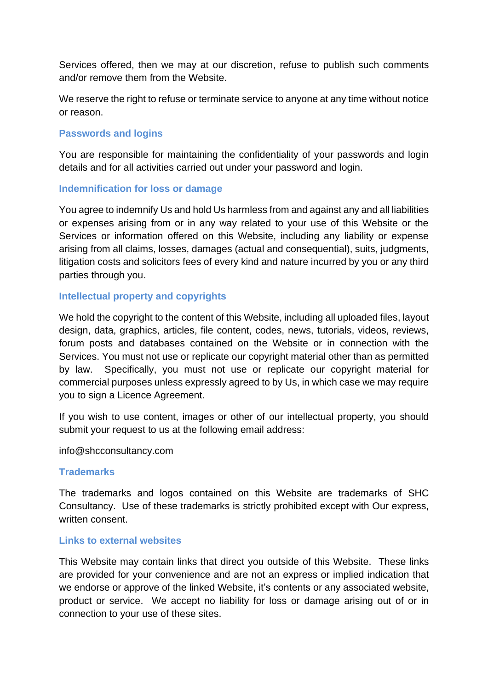Services offered, then we may at our discretion, refuse to publish such comments and/or remove them from the Website.

We reserve the right to refuse or terminate service to anyone at any time without notice or reason.

#### **Passwords and logins**

You are responsible for maintaining the confidentiality of your passwords and login details and for all activities carried out under your password and login.

### **Indemnification for loss or damage**

You agree to indemnify Us and hold Us harmless from and against any and all liabilities or expenses arising from or in any way related to your use of this Website or the Services or information offered on this Website, including any liability or expense arising from all claims, losses, damages (actual and consequential), suits, judgments, litigation costs and solicitors fees of every kind and nature incurred by you or any third parties through you.

### **Intellectual property and copyrights**

We hold the copyright to the content of this Website, including all uploaded files, layout design, data, graphics, articles, file content, codes, news, tutorials, videos, reviews, forum posts and databases contained on the Website or in connection with the Services. You must not use or replicate our copyright material other than as permitted by law. Specifically, you must not use or replicate our copyright material for commercial purposes unless expressly agreed to by Us, in which case we may require you to sign a Licence Agreement.

If you wish to use content, images or other of our intellectual property, you should submit your request to us at the following email address:

info@shcconsultancy.com

#### **Trademarks**

The trademarks and logos contained on this Website are trademarks of SHC Consultancy. Use of these trademarks is strictly prohibited except with Our express, written consent.

#### **Links to external websites**

This Website may contain links that direct you outside of this Website. These links are provided for your convenience and are not an express or implied indication that we endorse or approve of the linked Website, it's contents or any associated website, product or service. We accept no liability for loss or damage arising out of or in connection to your use of these sites.